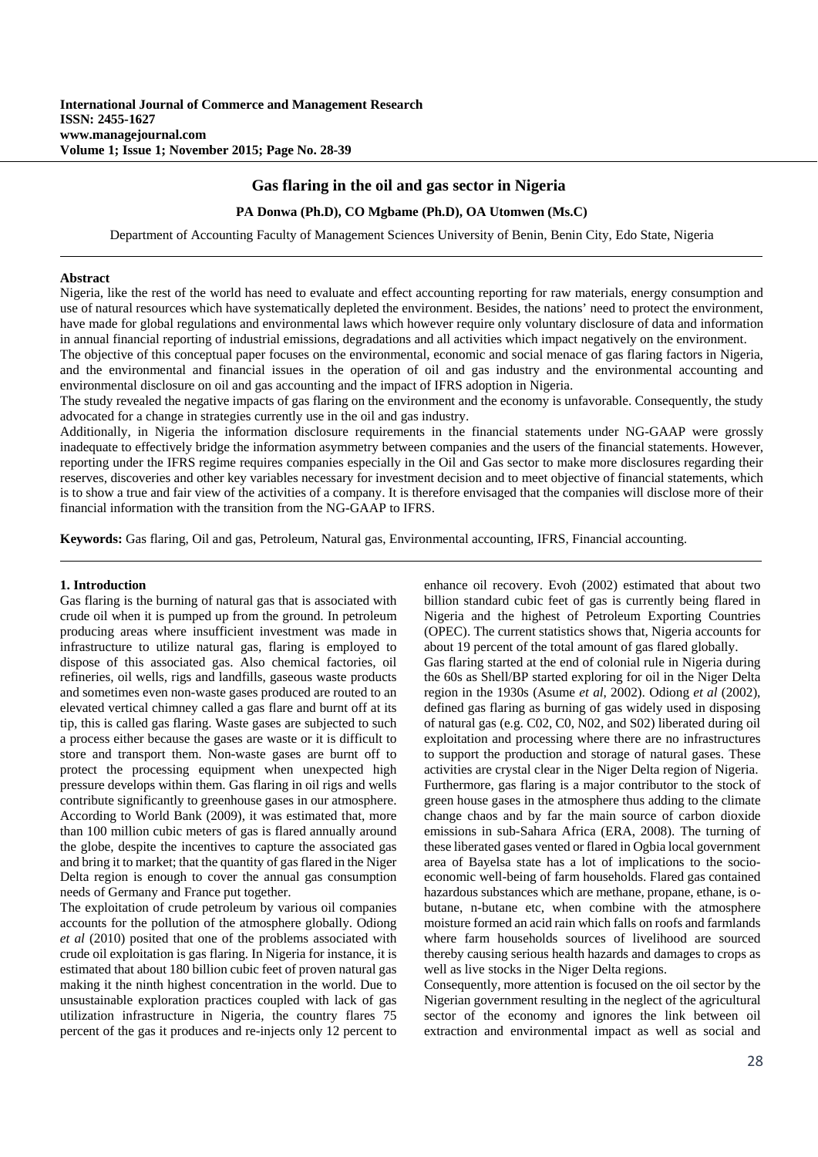# **Gas flaring in the oil and gas sector in Nigeria**

### **PA Donwa (Ph.D), CO Mgbame (Ph.D), OA Utomwen (Ms.C)**

Department of Accounting Faculty of Management Sciences University of Benin, Benin City, Edo State, Nigeria

#### **Abstract**

Nigeria, like the rest of the world has need to evaluate and effect accounting reporting for raw materials, energy consumption and use of natural resources which have systematically depleted the environment. Besides, the nations' need to protect the environment, have made for global regulations and environmental laws which however require only voluntary disclosure of data and information in annual financial reporting of industrial emissions, degradations and all activities which impact negatively on the environment.

The objective of this conceptual paper focuses on the environmental, economic and social menace of gas flaring factors in Nigeria, and the environmental and financial issues in the operation of oil and gas industry and the environmental accounting and environmental disclosure on oil and gas accounting and the impact of IFRS adoption in Nigeria.

The study revealed the negative impacts of gas flaring on the environment and the economy is unfavorable. Consequently, the study advocated for a change in strategies currently use in the oil and gas industry.

Additionally, in Nigeria the information disclosure requirements in the financial statements under NG-GAAP were grossly inadequate to effectively bridge the information asymmetry between companies and the users of the financial statements. However, reporting under the IFRS regime requires companies especially in the Oil and Gas sector to make more disclosures regarding their reserves, discoveries and other key variables necessary for investment decision and to meet objective of financial statements, which is to show a true and fair view of the activities of a company. It is therefore envisaged that the companies will disclose more of their financial information with the transition from the NG-GAAP to IFRS.

**Keywords:** Gas flaring, Oil and gas, Petroleum, Natural gas, Environmental accounting, IFRS, Financial accounting.

#### **1. Introduction**

Gas flaring is the burning of natural gas that is associated with crude oil when it is pumped up from the ground. In petroleum producing areas where insufficient investment was made in infrastructure to utilize natural gas, flaring is employed to dispose of this associated gas. Also chemical factories, oil refineries, oil wells, rigs and landfills, gaseous waste products and sometimes even non-waste gases produced are routed to an elevated vertical chimney called a gas flare and burnt off at its tip, this is called gas flaring. Waste gases are subjected to such a process either because the gases are waste or it is difficult to store and transport them. Non-waste gases are burnt off to protect the processing equipment when unexpected high pressure develops within them. Gas flaring in oil rigs and wells contribute significantly to greenhouse gases in our atmosphere. According to World Bank (2009), it was estimated that, more than 100 million cubic meters of gas is flared annually around the globe, despite the incentives to capture the associated gas and bring it to market; that the quantity of gas flared in the Niger Delta region is enough to cover the annual gas consumption needs of Germany and France put together.

The exploitation of crude petroleum by various oil companies accounts for the pollution of the atmosphere globally. Odiong *et al* (2010) posited that one of the problems associated with crude oil exploitation is gas flaring. In Nigeria for instance, it is estimated that about 180 billion cubic feet of proven natural gas making it the ninth highest concentration in the world. Due to unsustainable exploration practices coupled with lack of gas utilization infrastructure in Nigeria, the country flares 75 percent of the gas it produces and re-injects only 12 percent to

enhance oil recovery. Evoh (2002) estimated that about two billion standard cubic feet of gas is currently being flared in Nigeria and the highest of Petroleum Exporting Countries (OPEC). The current statistics shows that, Nigeria accounts for about 19 percent of the total amount of gas flared globally.

Gas flaring started at the end of colonial rule in Nigeria during the 60s as Shell/BP started exploring for oil in the Niger Delta region in the 1930s (Asume *et al*, 2002). Odiong *et al* (2002), defined gas flaring as burning of gas widely used in disposing of natural gas (e.g. C02, C0, N02, and S02) liberated during oil exploitation and processing where there are no infrastructures to support the production and storage of natural gases. These activities are crystal clear in the Niger Delta region of Nigeria. Furthermore, gas flaring is a major contributor to the stock of green house gases in the atmosphere thus adding to the climate change chaos and by far the main source of carbon dioxide emissions in sub-Sahara Africa (ERA, 2008). The turning of these liberated gases vented or flared in Ogbia local government area of Bayelsa state has a lot of implications to the socioeconomic well-being of farm households. Flared gas contained hazardous substances which are methane, propane, ethane, is obutane, n-butane etc, when combine with the atmosphere moisture formed an acid rain which falls on roofs and farmlands where farm households sources of livelihood are sourced thereby causing serious health hazards and damages to crops as well as live stocks in the Niger Delta regions.

Consequently, more attention is focused on the oil sector by the Nigerian government resulting in the neglect of the agricultural sector of the economy and ignores the link between oil extraction and environmental impact as well as social and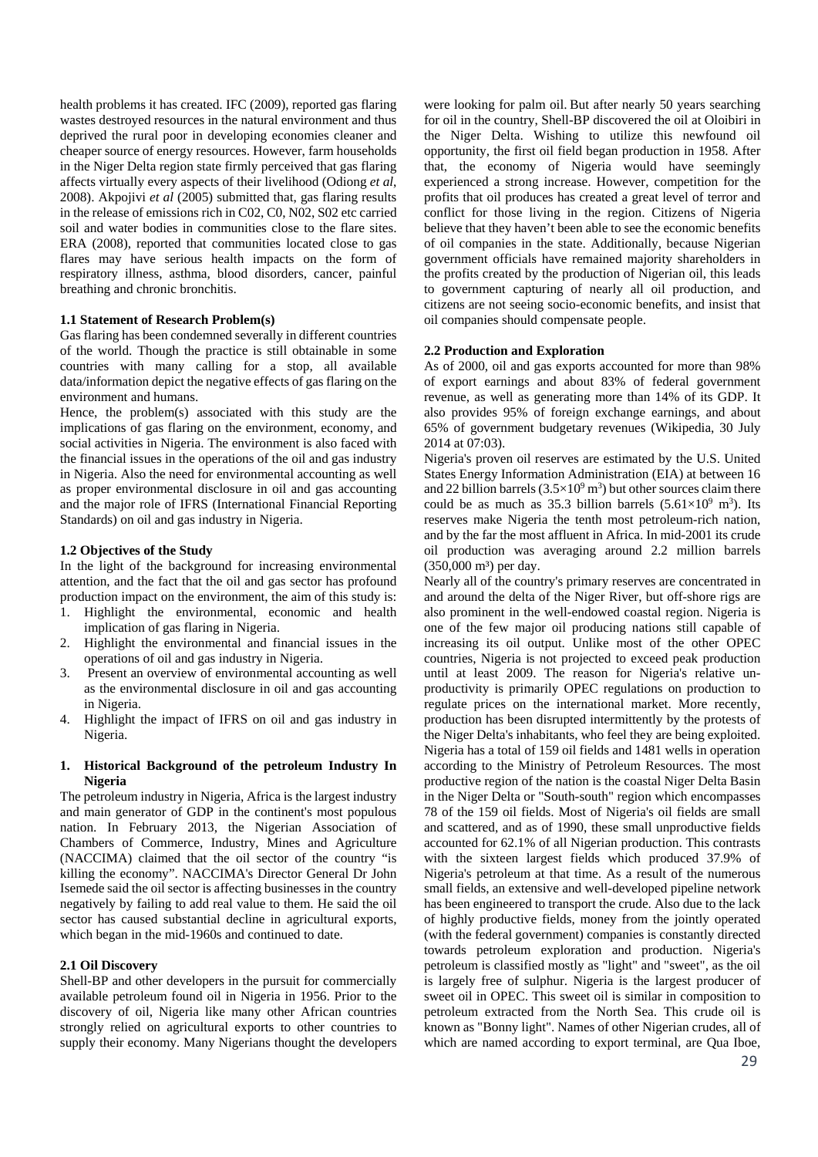health problems it has created. IFC (2009), reported gas flaring wastes destroyed resources in the natural environment and thus deprived the rural poor in developing economies cleaner and cheaper source of energy resources. However, farm households in the Niger Delta region state firmly perceived that gas flaring affects virtually every aspects of their livelihood (Odiong *et al*, 2008). Akpojivi *et al* (2005) submitted that, gas flaring results in the release of emissions rich in C02, C0, N02, S02 etc carried soil and water bodies in communities close to the flare sites. ERA (2008), reported that communities located close to gas flares may have serious health impacts on the form of respiratory illness, asthma, blood disorders, cancer, painful breathing and chronic bronchitis.

## **1.1 Statement of Research Problem(s)**

Gas flaring has been condemned severally in different countries of the world. Though the practice is still obtainable in some countries with many calling for a stop, all available data/information depict the negative effects of gas flaring on the environment and humans.

Hence, the problem(s) associated with this study are the implications of gas flaring on the environment, economy, and social activities in Nigeria. The environment is also faced with the financial issues in the operations of the oil and gas industry in Nigeria. Also the need for environmental accounting as well as proper environmental disclosure in oil and gas accounting and the major role of IFRS (International Financial Reporting Standards) on oil and gas industry in Nigeria.

#### **1.2 Objectives of the Study**

In the light of the background for increasing environmental attention, and the fact that the oil and gas sector has profound production impact on the environment, the aim of this study is:

- 1. Highlight the environmental, economic and health implication of gas flaring in Nigeria.
- 2. Highlight the environmental and financial issues in the operations of oil and gas industry in Nigeria.
- 3. Present an overview of environmental accounting as well as the environmental disclosure in oil and gas accounting in Nigeria.
- 4. Highlight the impact of IFRS on oil and gas industry in Nigeria.

## **1. Historical Background of the petroleum Industry In Nigeria**

The petroleum industry in Nigeria, Africa is the largest industry and main generator of GDP in the continent's most populous nation. In February 2013, the Nigerian Association of Chambers of Commerce, Industry, Mines and Agriculture (NACCIMA) claimed that the oil sector of the country "is killing the economy". NACCIMA's Director General Dr John Isemede said the oil sector is affecting businesses in the country negatively by failing to add real value to them. He said the oil sector has caused substantial decline in agricultural exports, which began in the mid-1960s and continued to date.

## **2.1 Oil Discovery**

Shell-BP and other developers in the pursuit for commercially available petroleum found oil in Nigeria in 1956. Prior to the discovery of oil, Nigeria like many other African countries strongly relied on agricultural exports to other countries to supply their economy. Many Nigerians thought the developers were looking for palm oil. But after nearly 50 years searching for oil in the country, Shell-BP discovered the oil at Oloibiri in the Niger Delta. Wishing to utilize this newfound oil opportunity, the first oil field began production in 1958. After that, the economy of Nigeria would have seemingly experienced a strong increase. However, competition for the profits that oil produces has created a great level of terror and conflict for those living in the region. Citizens of Nigeria believe that they haven't been able to see the economic benefits of oil companies in the state. Additionally, because Nigerian government officials have remained majority shareholders in the profits created by the production of Nigerian oil, this leads to government capturing of nearly all oil production, and citizens are not seeing socio-economic benefits, and insist that oil companies should compensate people.

### **2.2 Production and Exploration**

As of 2000, oil and gas exports accounted for more than 98% of export earnings and about 83% of federal government revenue, as well as generating more than 14% of its GDP. It also provides 95% of foreign exchange earnings, and about 65% of government budgetary revenues (Wikipedia, 30 July 2014 at 07:03).

Nigeria's proven oil reserves are estimated by the U.S. United States Energy Information Administration (EIA) at between 16 and 22 billion barrels  $(3.5\times10^{9} \text{ m}^3)$  but other sources claim there could be as much as 35.3 billion barrels  $(5.61 \times 10^9 \text{ m}^3)$ . Its reserves make Nigeria the tenth most petroleum-rich nation, and by the far the most affluent in Africa. In mid-2001 its crude oil production was averaging around 2.2 million barrels (350,000 m<sup>3</sup>) per day.

Nearly all of the country's primary reserves are concentrated in and around the delta of the Niger River, but off-shore rigs are also prominent in the well-endowed coastal region. Nigeria is one of the few major oil producing nations still capable of increasing its oil output. Unlike most of the other OPEC countries, Nigeria is not projected to exceed peak production until at least 2009. The reason for Nigeria's relative unproductivity is primarily OPEC regulations on production to regulate prices on the international market. More recently, production has been disrupted intermittently by the protests of the Niger Delta's inhabitants, who feel they are being exploited. Nigeria has a total of 159 oil fields and 1481 wells in operation according to the Ministry of Petroleum Resources. The most productive region of the nation is the coastal Niger Delta Basin in the Niger Delta or "South-south" region which encompasses 78 of the 159 oil fields. Most of Nigeria's oil fields are small and scattered, and as of 1990, these small unproductive fields accounted for 62.1% of all Nigerian production. This contrasts with the sixteen largest fields which produced 37.9% of Nigeria's petroleum at that time. As a result of the numerous small fields, an extensive and well-developed pipeline network has been engineered to transport the crude. Also due to the lack of highly productive fields, money from the jointly operated (with the federal government) companies is constantly directed towards petroleum exploration and production. Nigeria's petroleum is classified mostly as "light" and "sweet", as the oil is largely free of sulphur. Nigeria is the largest producer of sweet oil in OPEC. This sweet oil is similar in composition to petroleum extracted from the North Sea. This crude oil is known as "Bonny light". Names of other Nigerian crudes, all of which are named according to export terminal, are Qua Iboe,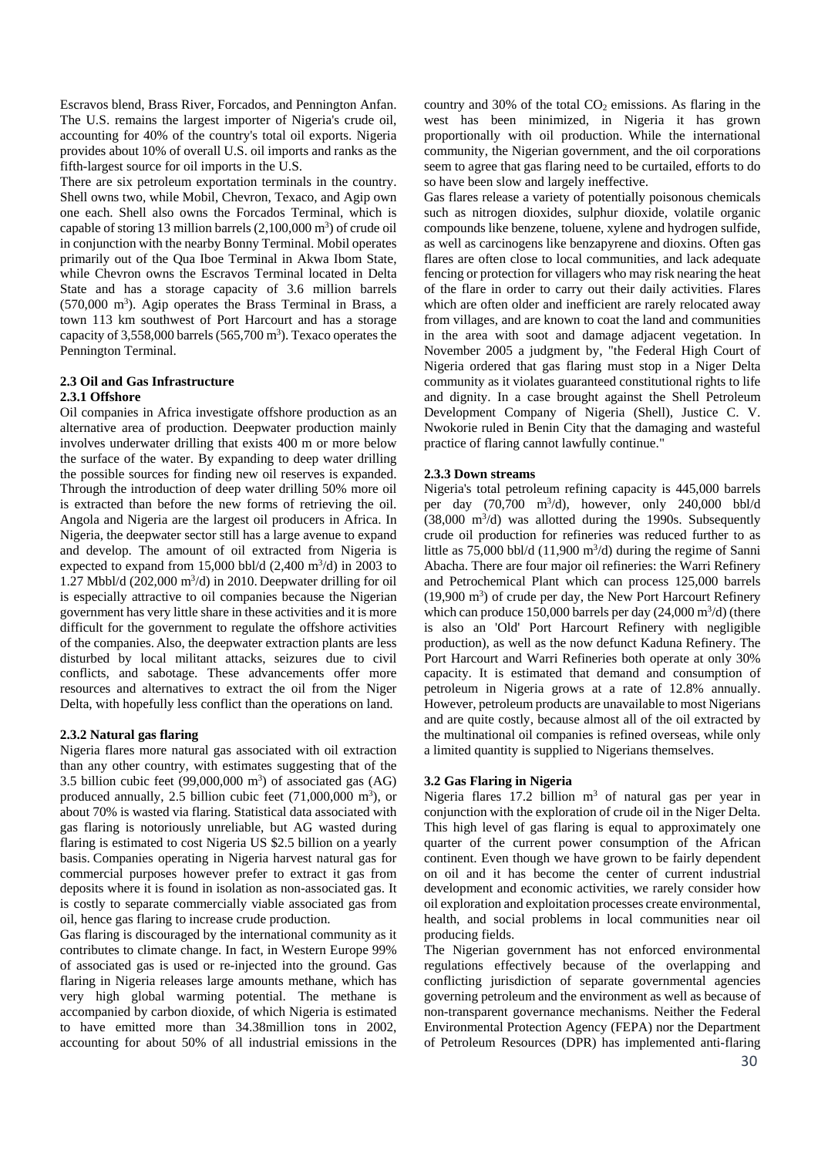Escravos blend, Brass River, Forcados, and Pennington Anfan. The U.S. remains the largest importer of Nigeria's crude oil, accounting for 40% of the country's total oil exports. Nigeria provides about 10% of overall U.S. oil imports and ranks as the fifth-largest source for oil imports in the U.S.

There are six petroleum exportation terminals in the country. Shell owns two, while Mobil, Chevron, Texaco, and Agip own one each. Shell also owns the Forcados Terminal, which is capable of storing 13 million barrels  $(2,100,000 \text{ m}^3)$  of crude oil in conjunction with the nearby Bonny Terminal. Mobil operates primarily out of the Qua Iboe Terminal in Akwa Ibom State, while Chevron owns the Escravos Terminal located in Delta State and has a storage capacity of 3.6 million barrels (570,000 m<sup>3</sup>). Agip operates the Brass Terminal in Brass, a town 113 km southwest of Port Harcourt and has a storage capacity of  $3,558,000$  barrels  $(565,700 \text{ m}^3)$ . Texaco operates the Pennington Terminal.

# **2.3 Oil and Gas Infrastructure 2.3.1 Offshore**

Oil companies in Africa investigate offshore production as an alternative area of production. Deepwater production mainly involves underwater drilling that exists 400 m or more below the surface of the water. By expanding to deep water drilling the possible sources for finding new oil reserves is expanded. Through the introduction of deep water drilling 50% more oil is extracted than before the new forms of retrieving the oil. Angola and Nigeria are the largest oil producers in Africa. In Nigeria, the deepwater sector still has a large avenue to expand and develop. The amount of oil extracted from Nigeria is expected to expand from 15,000 bbl/d  $(2,400 \text{ m}^3/\text{d})$  in 2003 to 1.27 Mbbl/d  $(202,000 \text{ m}^3/\text{d})$  in 2010. Deepwater drilling for oil is especially attractive to oil companies because the Nigerian government has very little share in these activities and it is more difficult for the government to regulate the offshore activities of the companies. Also, the deepwater extraction plants are less disturbed by local militant attacks, seizures due to civil conflicts, and sabotage. These advancements offer more resources and alternatives to extract the oil from the Niger Delta, with hopefully less conflict than the operations on land.

# **2.3.2 Natural gas flaring**

Nigeria flares more natural gas associated with oil extraction than any other country, with estimates suggesting that of the 3.5 billion cubic feet  $(99,000,000 \text{ m}^3)$  of associated gas  $(AG)$ produced annually, 2.5 billion cubic feet  $(71,000,000 \text{ m}^3)$ , or about 70% is wasted via flaring. Statistical data associated with gas flaring is notoriously unreliable, but AG wasted during flaring is estimated to cost Nigeria US \$2.5 billion on a yearly basis. Companies operating in Nigeria harvest natural gas for commercial purposes however prefer to extract it gas from deposits where it is found in isolation as non-associated gas. It is costly to separate commercially viable associated gas from oil, hence gas flaring to increase crude production.

Gas flaring is discouraged by the international community as it contributes to climate change. In fact, in Western Europe 99% of associated gas is used or re-injected into the ground. Gas flaring in Nigeria releases large amounts methane, which has very high global warming potential. The methane is accompanied by carbon dioxide, of which Nigeria is estimated to have emitted more than 34.38million tons in 2002, accounting for about 50% of all industrial emissions in the

country and 30% of the total  $CO<sub>2</sub>$  emissions. As flaring in the west has been minimized, in Nigeria it has grown proportionally with oil production. While the international community, the Nigerian government, and the oil corporations seem to agree that gas flaring need to be curtailed, efforts to do so have been slow and largely ineffective.

Gas flares release a variety of potentially poisonous chemicals such as nitrogen dioxides, sulphur dioxide, volatile organic compounds like benzene, toluene, xylene and hydrogen sulfide, as well as carcinogens like benzapyrene and dioxins. Often gas flares are often close to local communities, and lack adequate fencing or protection for villagers who may risk nearing the heat of the flare in order to carry out their daily activities. Flares which are often older and inefficient are rarely relocated away from villages, and are known to coat the land and communities in the area with soot and damage adjacent vegetation. In November 2005 a judgment by, "the Federal High Court of Nigeria ordered that gas flaring must stop in a Niger Delta community as it violates guaranteed constitutional rights to life and dignity. In a case brought against the Shell Petroleum Development Company of Nigeria (Shell), Justice C. V. Nwokorie ruled in Benin City that the damaging and wasteful practice of flaring cannot lawfully continue."

# **2.3.3 Down streams**

Nigeria's total petroleum refining capacity is 445,000 barrels per day  $(70,700 \text{ m}^3/\text{d})$ , however, only 240,000 bbl/d  $(38,000 \text{ m}^3/d)$  was allotted during the 1990s. Subsequently crude oil production for refineries was reduced further to as little as  $75,000$  bbl/d  $(11,900 \text{ m}^3/\text{d})$  during the regime of Sanni Abacha. There are four major oil refineries: the Warri Refinery and Petrochemical Plant which can process 125,000 barrels (19,900 m<sup>3</sup>) of crude per day, the New Port Harcourt Refinery which can produce 150,000 barrels per day  $(24,000 \text{ m}^3/\text{d})$  (there is also an 'Old' Port Harcourt Refinery with negligible production), as well as the now defunct Kaduna Refinery. The Port Harcourt and Warri Refineries both operate at only 30% capacity. It is estimated that demand and consumption of petroleum in Nigeria grows at a rate of 12.8% annually. However, petroleum products are unavailable to most Nigerians and are quite costly, because almost all of the oil extracted by the multinational oil companies is refined overseas, while only a limited quantity is supplied to Nigerians themselves.

# **3.2 Gas Flaring in Nigeria**

Nigeria flares  $17.2$  billion m<sup>3</sup> of natural gas per year in conjunction with the exploration of crude oil in the Niger Delta. This high level of gas flaring is equal to approximately one quarter of the current power consumption of the African continent. Even though we have grown to be fairly dependent on oil and it has become the center of current industrial development and economic activities, we rarely consider how oil exploration and exploitation processes create environmental, health, and social problems in local communities near oil producing fields.

The Nigerian government has not enforced environmental regulations effectively because of the overlapping and conflicting jurisdiction of separate governmental agencies governing petroleum and the environment as well as because of non-transparent governance mechanisms. Neither the Federal Environmental Protection Agency (FEPA) nor the Department of Petroleum Resources (DPR) has implemented anti-flaring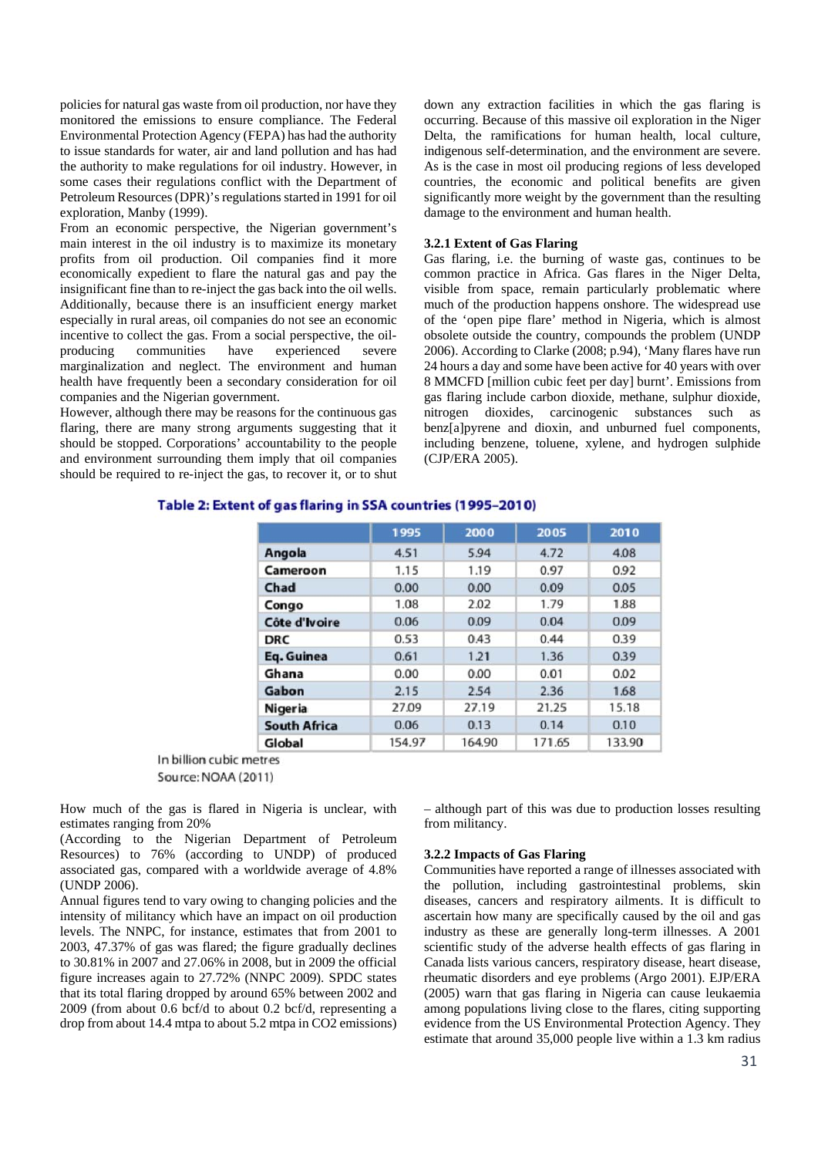policies for natural gas waste from oil production, nor have they monitored the emissions to ensure compliance. The Federal Environmental Protection Agency (FEPA) has had the authority to issue standards for water, air and land pollution and has had the authority to make regulations for oil industry. However, in some cases their regulations conflict with the Department of Petroleum Resources (DPR)'s regulations started in 1991 for oil exploration, Manby (1999).

From an economic perspective, the Nigerian government's main interest in the oil industry is to maximize its monetary profits from oil production. Oil companies find it more economically expedient to flare the natural gas and pay the insignificant fine than to re-inject the gas back into the oil wells. Additionally, because there is an insufficient energy market especially in rural areas, oil companies do not see an economic incentive to collect the gas. From a social perspective, the oilproducing communities have experienced severe marginalization and neglect. The environment and human health have frequently been a secondary consideration for oil companies and the Nigerian government.

However, although there may be reasons for the continuous gas flaring, there are many strong arguments suggesting that it should be stopped. Corporations' accountability to the people and environment surrounding them imply that oil companies should be required to re-inject the gas, to recover it, or to shut down any extraction facilities in which the gas flaring is occurring. Because of this massive oil exploration in the Niger Delta, the ramifications for human health, local culture, indigenous self-determination, and the environment are severe. As is the case in most oil producing regions of less developed countries, the economic and political benefits are given significantly more weight by the government than the resulting damage to the environment and human health.

#### **3.2.1 Extent of Gas Flaring**

Gas flaring, i.e. the burning of waste gas, continues to be common practice in Africa. Gas flares in the Niger Delta, visible from space, remain particularly problematic where much of the production happens onshore. The widespread use of the 'open pipe flare' method in Nigeria, which is almost obsolete outside the country, compounds the problem (UNDP 2006). According to Clarke (2008; p.94), 'Many flares have run 24 hours a day and some have been active for 40 years with over 8 MMCFD [million cubic feet per day] burnt'. Emissions from gas flaring include carbon dioxide, methane, sulphur dioxide, nitrogen dioxides, carcinogenic substances such as benz[a]pyrene and dioxin, and unburned fuel components, including benzene, toluene, xylene, and hydrogen sulphide (CJP/ERA 2005).

## Table 2: Extent of gas flaring in SSA countries (1995-2010)

|                     | 1995   | 2000   | 2005   | 2010   |
|---------------------|--------|--------|--------|--------|
| Angola              | 4.51   | 5.94   | 4.72   | 4.08   |
| Cameroon            | 1.15   | 1.19   | 0.97   | 0.92   |
| Chad                | 0.00   | 0.00   | 0.09   | 0.05   |
| Congo               | 1.08   | 2.02   | 1.79   | 1,88   |
| Côte d'Ivoire       | 0.06   | 0.09   | 0.04   | 0.09   |
| <b>DRC</b>          | 0.53   | 0.43   | 0.44   | 0.39   |
| Eq. Guinea          | 0.61   | 1.21   | 1.36   | 0.39   |
| Ghana               | 0.00   | 0.00   | 0.01   | 0.02   |
| Gabon               | 2.15   | 2.54   | 2.36   | 1.68   |
| Nigeria             | 27.09  | 27.19  | 21.25  | 15.18  |
| <b>South Africa</b> | 0.06   | 0.13   | 0.14   | 0.10   |
| Global              | 154.97 | 164.90 | 171.65 | 133.90 |

In billion cubic metres

Source: NOAA (2011)

How much of the gas is flared in Nigeria is unclear, with estimates ranging from 20%

(According to the Nigerian Department of Petroleum Resources) to 76% (according to UNDP) of produced associated gas, compared with a worldwide average of 4.8% (UNDP 2006).

Annual figures tend to vary owing to changing policies and the intensity of militancy which have an impact on oil production levels. The NNPC, for instance, estimates that from 2001 to 2003, 47.37% of gas was flared; the figure gradually declines to 30.81% in 2007 and 27.06% in 2008, but in 2009 the official figure increases again to 27.72% (NNPC 2009). SPDC states that its total flaring dropped by around 65% between 2002 and 2009 (from about 0.6 bcf/d to about 0.2 bcf/d, representing a drop from about 14.4 mtpa to about 5.2 mtpa in CO2 emissions) – although part of this was due to production losses resulting from militancy.

#### **3.2.2 Impacts of Gas Flaring**

Communities have reported a range of illnesses associated with the pollution, including gastrointestinal problems, skin diseases, cancers and respiratory ailments. It is difficult to ascertain how many are specifically caused by the oil and gas industry as these are generally long-term illnesses. A 2001 scientific study of the adverse health effects of gas flaring in Canada lists various cancers, respiratory disease, heart disease, rheumatic disorders and eye problems (Argo 2001). EJP/ERA (2005) warn that gas flaring in Nigeria can cause leukaemia among populations living close to the flares, citing supporting evidence from the US Environmental Protection Agency. They estimate that around 35,000 people live within a 1.3 km radius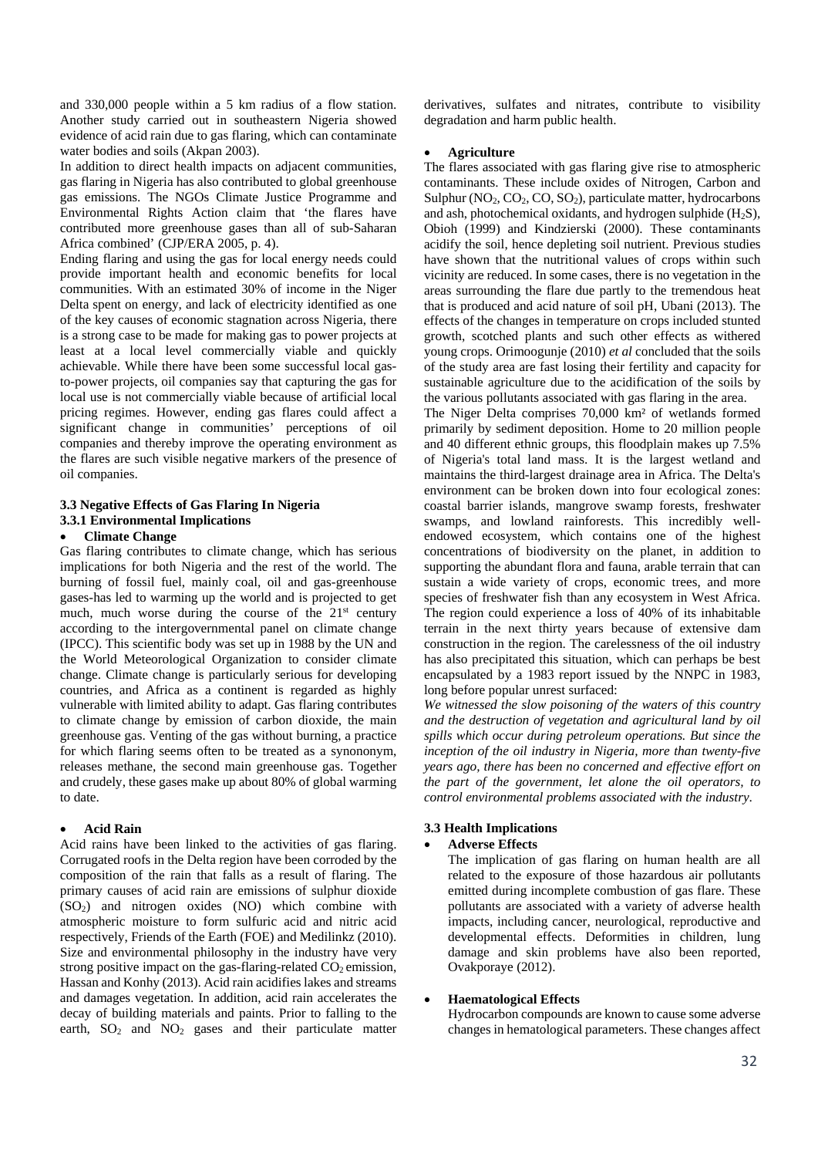and 330,000 people within a 5 km radius of a flow station. Another study carried out in southeastern Nigeria showed evidence of acid rain due to gas flaring, which can contaminate water bodies and soils (Akpan 2003).

In addition to direct health impacts on adjacent communities, gas flaring in Nigeria has also contributed to global greenhouse gas emissions. The NGOs Climate Justice Programme and Environmental Rights Action claim that 'the flares have contributed more greenhouse gases than all of sub-Saharan Africa combined' (CJP/ERA 2005, p. 4).

Ending flaring and using the gas for local energy needs could provide important health and economic benefits for local communities. With an estimated 30% of income in the Niger Delta spent on energy, and lack of electricity identified as one of the key causes of economic stagnation across Nigeria, there is a strong case to be made for making gas to power projects at least at a local level commercially viable and quickly achievable. While there have been some successful local gasto-power projects, oil companies say that capturing the gas for local use is not commercially viable because of artificial local pricing regimes. However, ending gas flares could affect a significant change in communities' perceptions of oil companies and thereby improve the operating environment as the flares are such visible negative markers of the presence of oil companies.

## **3.3 Negative Effects of Gas Flaring In Nigeria 3.3.1 Environmental Implications**

## **Climate Change**

Gas flaring contributes to climate change, which has serious implications for both Nigeria and the rest of the world. The burning of fossil fuel, mainly coal, oil and gas-greenhouse gases-has led to warming up the world and is projected to get much, much worse during the course of the  $21<sup>st</sup>$  century according to the intergovernmental panel on climate change (IPCC). This scientific body was set up in 1988 by the UN and the World Meteorological Organization to consider climate change. Climate change is particularly serious for developing countries, and Africa as a continent is regarded as highly vulnerable with limited ability to adapt. Gas flaring contributes to climate change by emission of carbon dioxide, the main greenhouse gas. Venting of the gas without burning, a practice for which flaring seems often to be treated as a synononym, releases methane, the second main greenhouse gas. Together and crudely, these gases make up about 80% of global warming to date.

# **Acid Rain**

Acid rains have been linked to the activities of gas flaring. Corrugated roofs in the Delta region have been corroded by the composition of the rain that falls as a result of flaring. The primary causes of acid rain are emissions of sulphur dioxide  $(SO<sub>2</sub>)$  and nitrogen oxides  $(NO)$  which combine with atmospheric moisture to form sulfuric acid and nitric acid respectively, Friends of the Earth (FOE) and Medilinkz (2010). Size and environmental philosophy in the industry have very strong positive impact on the gas-flaring-related  $CO<sub>2</sub>$  emission, Hassan and Konhy (2013). Acid rain acidifies lakes and streams and damages vegetation. In addition, acid rain accelerates the decay of building materials and paints. Prior to falling to the earth,  $SO_2$  and  $NO_2$  gases and their particulate matter

derivatives, sulfates and nitrates, contribute to visibility degradation and harm public health.

## **Agriculture**

The flares associated with gas flaring give rise to atmospheric contaminants. These include oxides of Nitrogen, Carbon and Sulphur  $(NO_2, CO_2, CO, SO_2)$ , particulate matter, hydrocarbons and ash, photochemical oxidants, and hydrogen sulphide  $(H_2S)$ , Obioh (1999) and Kindzierski (2000). These contaminants acidify the soil, hence depleting soil nutrient. Previous studies have shown that the nutritional values of crops within such vicinity are reduced. In some cases, there is no vegetation in the areas surrounding the flare due partly to the tremendous heat that is produced and acid nature of soil pH, Ubani (2013). The effects of the changes in temperature on crops included stunted growth, scotched plants and such other effects as withered young crops. Orimoogunje (2010) *et al* concluded that the soils of the study area are fast losing their fertility and capacity for sustainable agriculture due to the acidification of the soils by the various pollutants associated with gas flaring in the area.

The Niger Delta comprises 70,000 km² of wetlands formed primarily by sediment deposition. Home to 20 million people and 40 different ethnic groups, this floodplain makes up 7.5% of Nigeria's total land mass. It is the largest wetland and maintains the third-largest drainage area in Africa. The Delta's environment can be broken down into four ecological zones: coastal barrier islands, mangrove swamp forests, freshwater swamps, and lowland rainforests. This incredibly wellendowed ecosystem, which contains one of the highest concentrations of biodiversity on the planet, in addition to supporting the abundant flora and fauna, arable terrain that can sustain a wide variety of crops, economic trees, and more species of freshwater fish than any ecosystem in West Africa. The region could experience a loss of 40% of its inhabitable terrain in the next thirty years because of extensive dam construction in the region. The carelessness of the oil industry has also precipitated this situation, which can perhaps be best encapsulated by a 1983 report issued by the NNPC in 1983, long before popular unrest surfaced:

*We witnessed the slow poisoning of the waters of this country and the destruction of vegetation and agricultural land by oil spills which occur during petroleum operations. But since the inception of the oil industry in Nigeria, more than twenty-five years ago, there has been no concerned and effective effort on the part of the government, let alone the oil operators, to control environmental problems associated with the industry*.

# **3.3 Health Implications**

# **Adverse Effects**

The implication of gas flaring on human health are all related to the exposure of those hazardous air pollutants emitted during incomplete combustion of gas flare. These pollutants are associated with a variety of adverse health impacts, including cancer, neurological, reproductive and developmental effects. Deformities in children, lung damage and skin problems have also been reported, Ovakporaye (2012).

# **Haematological Effects**

Hydrocarbon compounds are known to cause some adverse changes in hematological parameters. These changes affect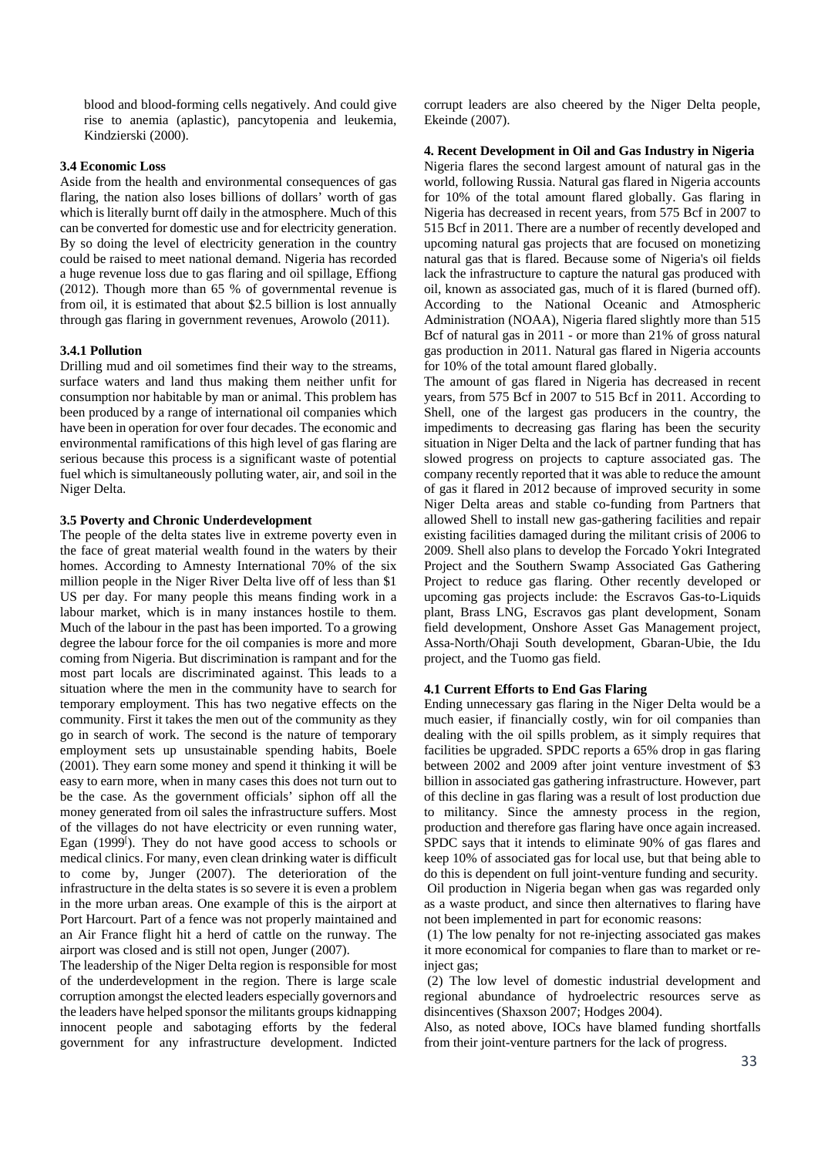blood and blood-forming cells negatively. And could give rise to anemia (aplastic), pancytopenia and leukemia, Kindzierski (2000).

## **3.4 Economic Loss**

Aside from the health and environmental consequences of gas flaring, the nation also loses billions of dollars' worth of gas which is literally burnt off daily in the atmosphere. Much of this can be converted for domestic use and for electricity generation. By so doing the level of electricity generation in the country could be raised to meet national demand. Nigeria has recorded a huge revenue loss due to gas flaring and oil spillage, Effiong (2012). Though more than 65 % of governmental revenue is from oil, it is estimated that about \$2.5 billion is lost annually through gas flaring in government revenues, Arowolo (2011).

### **3.4.1 Pollution**

Drilling mud and oil sometimes find their way to the streams, surface waters and land thus making them neither unfit for consumption nor habitable by man or animal. This problem has been produced by a range of international oil companies which have been in operation for over four decades. The economic and environmental ramifications of this high level of gas flaring are serious because this process is a significant waste of potential fuel which is simultaneously polluting water, air, and soil in the Niger Delta.

### **3.5 Poverty and Chronic Underdevelopment**

The people of the delta states live in extreme poverty even in the face of great material wealth found in the waters by their homes. According to Amnesty International 70% of the six million people in the Niger River Delta live off of less than \$1 US per day. For many people this means finding work in a labour market, which is in many instances hostile to them. Much of the labour in the past has been imported. To a growing degree the labour force for the oil companies is more and more coming from Nigeria. But discrimination is rampant and for the most part locals are discriminated against. This leads to a situation where the men in the community have to search for temporary employment. This has two negative effects on the community. First it takes the men out of the community as they go in search of work. The second is the nature of temporary employment sets up unsustainable spending habits, Boele (2001). They earn some money and spend it thinking it will be easy to earn more, when in many cases this does not turn out to be the case. As the government officials' siphon off all the money generated from oil sales the infrastructure suffers. Most of the villages do not have electricity or even running water, Egan (1999<sup>[</sup>). They do not have good access to schools or medical clinics. For many, even clean drinking water is difficult to come by, Junger (2007). The deterioration of the infrastructure in the delta states is so severe it is even a problem in the more urban areas. One example of this is the airport at Port Harcourt. Part of a fence was not properly maintained and an Air France flight hit a herd of cattle on the runway. The airport was closed and is still not open, Junger (2007).

The leadership of the Niger Delta region is responsible for most of the underdevelopment in the region. There is large scale corruption amongst the elected leaders especially governors and the leaders have helped sponsor the militants groups kidnapping innocent people and sabotaging efforts by the federal government for any infrastructure development. Indicted corrupt leaders are also cheered by the Niger Delta people, Ekeinde (2007).

#### **4. Recent Development in Oil and Gas Industry in Nigeria**

Nigeria flares the second largest amount of natural gas in the world, following Russia. Natural gas flared in Nigeria accounts for 10% of the total amount flared globally. Gas flaring in Nigeria has decreased in recent years, from 575 Bcf in 2007 to 515 Bcf in 2011. There are a number of recently developed and upcoming natural gas projects that are focused on monetizing natural gas that is flared. Because some of Nigeria's oil fields lack the infrastructure to capture the natural gas produced with oil, known as associated gas, much of it is flared (burned off). According to the National Oceanic and Atmospheric Administration (NOAA), Nigeria flared slightly more than 515 Bcf of natural gas in 2011 - or more than 21% of gross natural gas production in 2011. Natural gas flared in Nigeria accounts for 10% of the total amount flared globally.

The amount of gas flared in Nigeria has decreased in recent years, from 575 Bcf in 2007 to 515 Bcf in 2011. According to Shell, one of the largest gas producers in the country, the impediments to decreasing gas flaring has been the security situation in Niger Delta and the lack of partner funding that has slowed progress on projects to capture associated gas. The company recently reported that it was able to reduce the amount of gas it flared in 2012 because of improved security in some Niger Delta areas and stable co-funding from Partners that allowed Shell to install new gas-gathering facilities and repair existing facilities damaged during the militant crisis of 2006 to 2009. Shell also plans to develop the Forcado Yokri Integrated Project and the Southern Swamp Associated Gas Gathering Project to reduce gas flaring. Other recently developed or upcoming gas projects include: the Escravos Gas-to-Liquids plant, Brass LNG, Escravos gas plant development, Sonam field development, Onshore Asset Gas Management project, Assa-North/Ohaji South development, Gbaran-Ubie, the Idu project, and the Tuomo gas field.

#### **4.1 Current Efforts to End Gas Flaring**

Ending unnecessary gas flaring in the Niger Delta would be a much easier, if financially costly, win for oil companies than dealing with the oil spills problem, as it simply requires that facilities be upgraded. SPDC reports a 65% drop in gas flaring between 2002 and 2009 after joint venture investment of \$3 billion in associated gas gathering infrastructure. However, part of this decline in gas flaring was a result of lost production due to militancy. Since the amnesty process in the region, production and therefore gas flaring have once again increased. SPDC says that it intends to eliminate 90% of gas flares and keep 10% of associated gas for local use, but that being able to do this is dependent on full joint-venture funding and security. Oil production in Nigeria began when gas was regarded only as a waste product, and since then alternatives to flaring have not been implemented in part for economic reasons:

 (1) The low penalty for not re-injecting associated gas makes it more economical for companies to flare than to market or reinject gas;

 (2) The low level of domestic industrial development and regional abundance of hydroelectric resources serve as disincentives (Shaxson 2007; Hodges 2004).

Also, as noted above, IOCs have blamed funding shortfalls from their joint-venture partners for the lack of progress.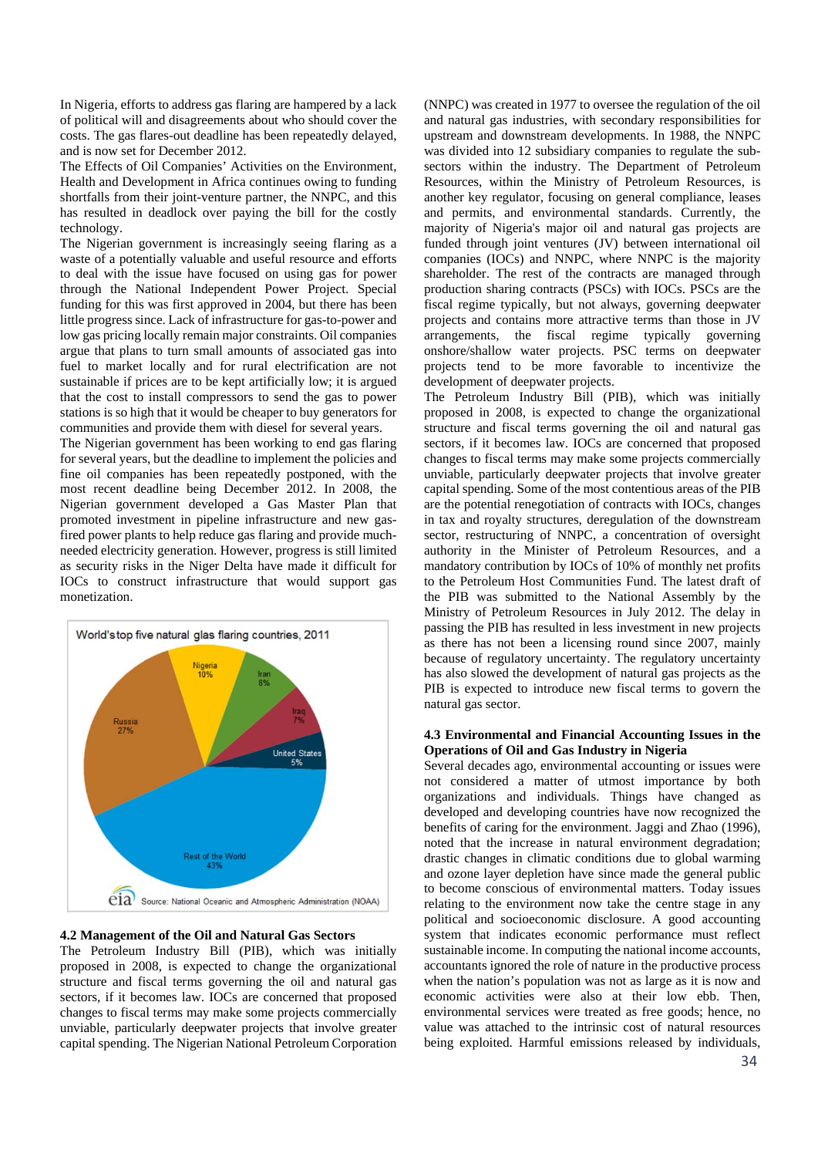In Nigeria, efforts to address gas flaring are hampered by a lack of political will and disagreements about who should cover the costs. The gas flares-out deadline has been repeatedly delayed, and is now set for December 2012.

The Effects of Oil Companies' Activities on the Environment, Health and Development in Africa continues owing to funding shortfalls from their joint-venture partner, the NNPC, and this has resulted in deadlock over paying the bill for the costly technology.

The Nigerian government is increasingly seeing flaring as a waste of a potentially valuable and useful resource and efforts to deal with the issue have focused on using gas for power through the National Independent Power Project. Special funding for this was first approved in 2004, but there has been little progress since. Lack of infrastructure for gas-to-power and low gas pricing locally remain major constraints. Oil companies argue that plans to turn small amounts of associated gas into fuel to market locally and for rural electrification are not sustainable if prices are to be kept artificially low; it is argued that the cost to install compressors to send the gas to power stations is so high that it would be cheaper to buy generators for communities and provide them with diesel for several years.

The Nigerian government has been working to end gas flaring for several years, but the deadline to implement the policies and fine oil companies has been repeatedly postponed, with the most recent deadline being December 2012. In 2008, the Nigerian government developed a Gas Master Plan that promoted investment in pipeline infrastructure and new gasfired power plants to help reduce gas flaring and provide muchneeded electricity generation. However, progress is still limited as security risks in the Niger Delta have made it difficult for IOCs to construct infrastructure that would support gas monetization.



## **4.2 Management of the Oil and Natural Gas Sectors**

The Petroleum Industry Bill (PIB), which was initially proposed in 2008, is expected to change the organizational structure and fiscal terms governing the oil and natural gas sectors, if it becomes law. IOCs are concerned that proposed changes to fiscal terms may make some projects commercially unviable, particularly deepwater projects that involve greater capital spending. The Nigerian National Petroleum Corporation (NNPC) was created in 1977 to oversee the regulation of the oil and natural gas industries, with secondary responsibilities for upstream and downstream developments. In 1988, the NNPC was divided into 12 subsidiary companies to regulate the subsectors within the industry. The Department of Petroleum Resources, within the Ministry of Petroleum Resources, is another key regulator, focusing on general compliance, leases and permits, and environmental standards. Currently, the majority of Nigeria's major oil and natural gas projects are funded through joint ventures (JV) between international oil companies (IOCs) and NNPC, where NNPC is the majority shareholder. The rest of the contracts are managed through production sharing contracts (PSCs) with IOCs. PSCs are the fiscal regime typically, but not always, governing deepwater projects and contains more attractive terms than those in JV arrangements, the fiscal regime typically governing onshore/shallow water projects. PSC terms on deepwater projects tend to be more favorable to incentivize the development of deepwater projects.

The Petroleum Industry Bill (PIB), which was initially proposed in 2008, is expected to change the organizational structure and fiscal terms governing the oil and natural gas sectors, if it becomes law. IOCs are concerned that proposed changes to fiscal terms may make some projects commercially unviable, particularly deepwater projects that involve greater capital spending. Some of the most contentious areas of the PIB are the potential renegotiation of contracts with IOCs, changes in tax and royalty structures, deregulation of the downstream sector, restructuring of NNPC, a concentration of oversight authority in the Minister of Petroleum Resources, and a mandatory contribution by IOCs of 10% of monthly net profits to the Petroleum Host Communities Fund. The latest draft of the PIB was submitted to the National Assembly by the Ministry of Petroleum Resources in July 2012. The delay in passing the PIB has resulted in less investment in new projects as there has not been a licensing round since 2007, mainly because of regulatory uncertainty. The regulatory uncertainty has also slowed the development of natural gas projects as the PIB is expected to introduce new fiscal terms to govern the natural gas sector.

### **4.3 Environmental and Financial Accounting Issues in the Operations of Oil and Gas Industry in Nigeria**

Several decades ago, environmental accounting or issues were not considered a matter of utmost importance by both organizations and individuals. Things have changed as developed and developing countries have now recognized the benefits of caring for the environment. Jaggi and Zhao (1996), noted that the increase in natural environment degradation; drastic changes in climatic conditions due to global warming and ozone layer depletion have since made the general public to become conscious of environmental matters. Today issues relating to the environment now take the centre stage in any political and socioeconomic disclosure. A good accounting system that indicates economic performance must reflect sustainable income. In computing the national income accounts, accountants ignored the role of nature in the productive process when the nation's population was not as large as it is now and economic activities were also at their low ebb. Then, environmental services were treated as free goods; hence, no value was attached to the intrinsic cost of natural resources being exploited. Harmful emissions released by individuals,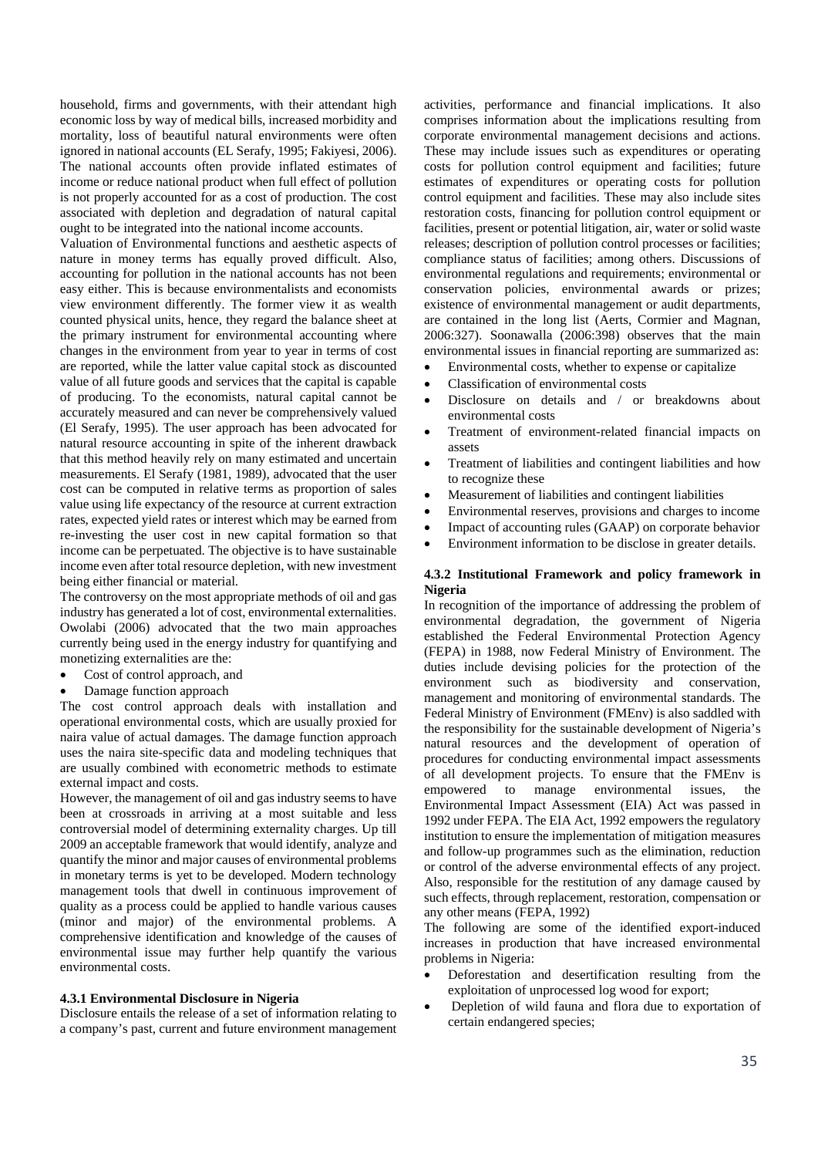household, firms and governments, with their attendant high economic loss by way of medical bills, increased morbidity and mortality, loss of beautiful natural environments were often ignored in national accounts (EL Serafy, 1995; Fakiyesi, 2006). The national accounts often provide inflated estimates of income or reduce national product when full effect of pollution is not properly accounted for as a cost of production. The cost associated with depletion and degradation of natural capital ought to be integrated into the national income accounts.

Valuation of Environmental functions and aesthetic aspects of nature in money terms has equally proved difficult. Also, accounting for pollution in the national accounts has not been easy either. This is because environmentalists and economists view environment differently. The former view it as wealth counted physical units, hence, they regard the balance sheet at the primary instrument for environmental accounting where changes in the environment from year to year in terms of cost are reported, while the latter value capital stock as discounted value of all future goods and services that the capital is capable of producing. To the economists, natural capital cannot be accurately measured and can never be comprehensively valued (El Serafy, 1995). The user approach has been advocated for natural resource accounting in spite of the inherent drawback that this method heavily rely on many estimated and uncertain measurements. El Serafy (1981, 1989), advocated that the user cost can be computed in relative terms as proportion of sales value using life expectancy of the resource at current extraction rates, expected yield rates or interest which may be earned from re-investing the user cost in new capital formation so that income can be perpetuated. The objective is to have sustainable income even after total resource depletion, with new investment being either financial or material.

The controversy on the most appropriate methods of oil and gas industry has generated a lot of cost, environmental externalities. Owolabi (2006) advocated that the two main approaches currently being used in the energy industry for quantifying and monetizing externalities are the:

- Cost of control approach, and
- Damage function approach

The cost control approach deals with installation and operational environmental costs, which are usually proxied for naira value of actual damages. The damage function approach uses the naira site-specific data and modeling techniques that are usually combined with econometric methods to estimate external impact and costs.

However, the management of oil and gas industry seems to have been at crossroads in arriving at a most suitable and less controversial model of determining externality charges. Up till 2009 an acceptable framework that would identify, analyze and quantify the minor and major causes of environmental problems in monetary terms is yet to be developed. Modern technology management tools that dwell in continuous improvement of quality as a process could be applied to handle various causes (minor and major) of the environmental problems. A comprehensive identification and knowledge of the causes of environmental issue may further help quantify the various environmental costs.

#### **4.3.1 Environmental Disclosure in Nigeria**

Disclosure entails the release of a set of information relating to a company's past, current and future environment management activities, performance and financial implications. It also comprises information about the implications resulting from corporate environmental management decisions and actions. These may include issues such as expenditures or operating costs for pollution control equipment and facilities; future estimates of expenditures or operating costs for pollution control equipment and facilities. These may also include sites restoration costs, financing for pollution control equipment or facilities, present or potential litigation, air, water or solid waste releases; description of pollution control processes or facilities; compliance status of facilities; among others. Discussions of environmental regulations and requirements; environmental or conservation policies, environmental awards or prizes; existence of environmental management or audit departments, are contained in the long list (Aerts, Cormier and Magnan, 2006:327). Soonawalla (2006:398) observes that the main environmental issues in financial reporting are summarized as:

- Environmental costs, whether to expense or capitalize
- Classification of environmental costs
- Disclosure on details and / or breakdowns about environmental costs
- Treatment of environment-related financial impacts on assets
- Treatment of liabilities and contingent liabilities and how to recognize these
- Measurement of liabilities and contingent liabilities
- Environmental reserves, provisions and charges to income
- Impact of accounting rules (GAAP) on corporate behavior
- Environment information to be disclose in greater details.

## **4.3.2 Institutional Framework and policy framework in Nigeria**

In recognition of the importance of addressing the problem of environmental degradation, the government of Nigeria established the Federal Environmental Protection Agency (FEPA) in 1988, now Federal Ministry of Environment. The duties include devising policies for the protection of the environment such as biodiversity and conservation, management and monitoring of environmental standards. The Federal Ministry of Environment (FMEnv) is also saddled with the responsibility for the sustainable development of Nigeria's natural resources and the development of operation of procedures for conducting environmental impact assessments of all development projects. To ensure that the FMEnv is empowered to manage environmental issues, the Environmental Impact Assessment (EIA) Act was passed in 1992 under FEPA. The EIA Act, 1992 empowers the regulatory institution to ensure the implementation of mitigation measures and follow-up programmes such as the elimination, reduction or control of the adverse environmental effects of any project. Also, responsible for the restitution of any damage caused by such effects, through replacement, restoration, compensation or any other means (FEPA, 1992)

The following are some of the identified export-induced increases in production that have increased environmental problems in Nigeria:

- Deforestation and desertification resulting from the exploitation of unprocessed log wood for export;
- Depletion of wild fauna and flora due to exportation of certain endangered species;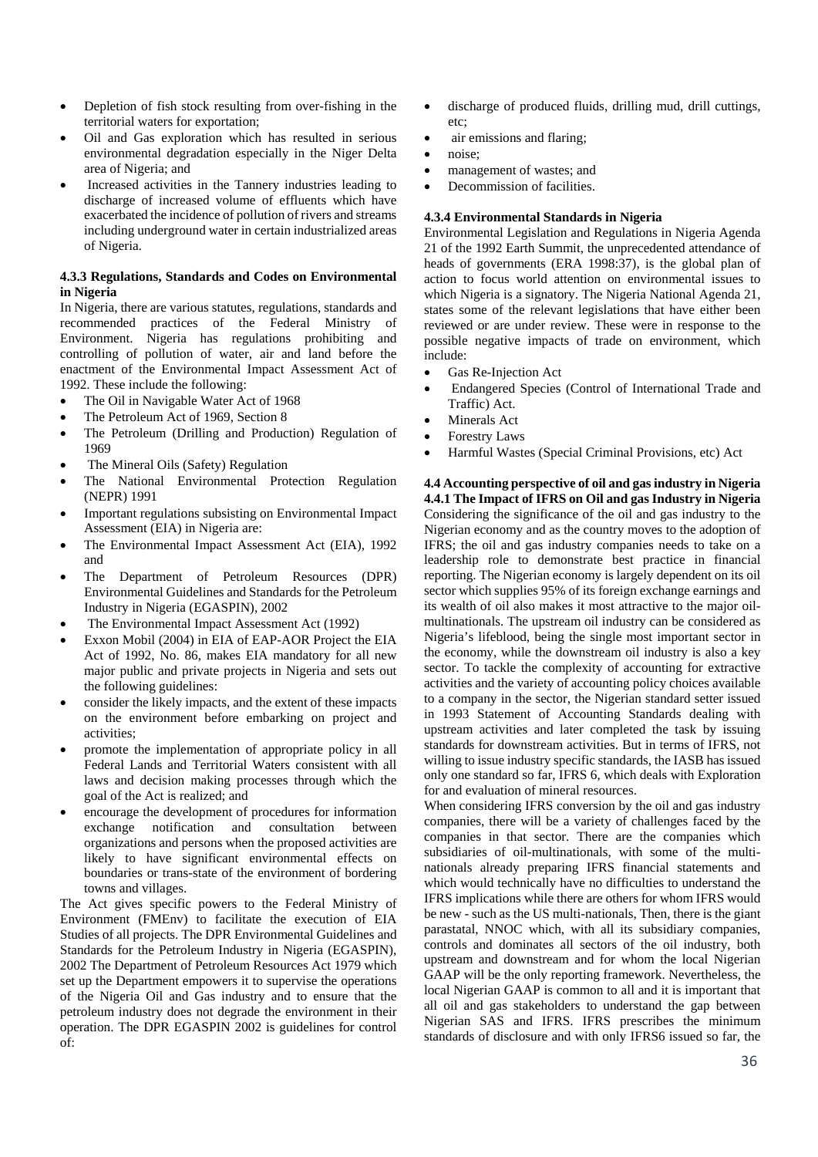- Depletion of fish stock resulting from over-fishing in the territorial waters for exportation;
- Oil and Gas exploration which has resulted in serious environmental degradation especially in the Niger Delta area of Nigeria; and
- Increased activities in the Tannery industries leading to discharge of increased volume of effluents which have exacerbated the incidence of pollution of rivers and streams including underground water in certain industrialized areas of Nigeria.

## **4.3.3 Regulations, Standards and Codes on Environmental in Nigeria**

In Nigeria, there are various statutes, regulations, standards and recommended practices of the Federal Ministry of Environment. Nigeria has regulations prohibiting and controlling of pollution of water, air and land before the enactment of the Environmental Impact Assessment Act of 1992. These include the following:

- The Oil in Navigable Water Act of 1968
- The Petroleum Act of 1969, Section 8
- The Petroleum (Drilling and Production) Regulation of 1969
- The Mineral Oils (Safety) Regulation
- The National Environmental Protection Regulation (NEPR) 1991
- Important regulations subsisting on Environmental Impact Assessment (EIA) in Nigeria are:
- The Environmental Impact Assessment Act (EIA), 1992 and
- The Department of Petroleum Resources (DPR) Environmental Guidelines and Standards for the Petroleum Industry in Nigeria (EGASPIN), 2002
- The Environmental Impact Assessment Act (1992)
- Exxon Mobil (2004) in EIA of EAP-AOR Project the EIA Act of 1992, No. 86, makes EIA mandatory for all new major public and private projects in Nigeria and sets out the following guidelines:
- consider the likely impacts, and the extent of these impacts on the environment before embarking on project and activities;
- promote the implementation of appropriate policy in all Federal Lands and Territorial Waters consistent with all laws and decision making processes through which the goal of the Act is realized; and
- encourage the development of procedures for information exchange notification and consultation between organizations and persons when the proposed activities are likely to have significant environmental effects on boundaries or trans-state of the environment of bordering towns and villages.

The Act gives specific powers to the Federal Ministry of Environment (FMEnv) to facilitate the execution of EIA Studies of all projects. The DPR Environmental Guidelines and Standards for the Petroleum Industry in Nigeria (EGASPIN), 2002 The Department of Petroleum Resources Act 1979 which set up the Department empowers it to supervise the operations of the Nigeria Oil and Gas industry and to ensure that the petroleum industry does not degrade the environment in their operation. The DPR EGASPIN 2002 is guidelines for control of:

- discharge of produced fluids, drilling mud, drill cuttings, etc;
- air emissions and flaring;
- noise;
- management of wastes; and
- Decommission of facilities.

# **4.3.4 Environmental Standards in Nigeria**

Environmental Legislation and Regulations in Nigeria Agenda 21 of the 1992 Earth Summit, the unprecedented attendance of heads of governments (ERA 1998:37), is the global plan of action to focus world attention on environmental issues to which Nigeria is a signatory. The Nigeria National Agenda 21, states some of the relevant legislations that have either been reviewed or are under review. These were in response to the possible negative impacts of trade on environment, which include:

- Gas Re-Injection Act
- Endangered Species (Control of International Trade and Traffic) Act.
- Minerals Act
- Forestry Laws
- Harmful Wastes (Special Criminal Provisions, etc) Act

**4.4 Accounting perspective of oil and gas industry in Nigeria 4.4.1 The Impact of IFRS on Oil and gas Industry in Nigeria**  Considering the significance of the oil and gas industry to the Nigerian economy and as the country moves to the adoption of IFRS; the oil and gas industry companies needs to take on a leadership role to demonstrate best practice in financial reporting. The Nigerian economy is largely dependent on its oil sector which supplies 95% of its foreign exchange earnings and its wealth of oil also makes it most attractive to the major oilmultinationals. The upstream oil industry can be considered as Nigeria's lifeblood, being the single most important sector in the economy, while the downstream oil industry is also a key sector. To tackle the complexity of accounting for extractive activities and the variety of accounting policy choices available to a company in the sector, the Nigerian standard setter issued in 1993 Statement of Accounting Standards dealing with upstream activities and later completed the task by issuing standards for downstream activities. But in terms of IFRS, not willing to issue industry specific standards, the IASB has issued only one standard so far, IFRS 6, which deals with Exploration for and evaluation of mineral resources.

When considering IFRS conversion by the oil and gas industry companies, there will be a variety of challenges faced by the companies in that sector. There are the companies which subsidiaries of oil-multinationals, with some of the multinationals already preparing IFRS financial statements and which would technically have no difficulties to understand the IFRS implications while there are others for whom IFRS would be new - such as the US multi-nationals, Then, there is the giant parastatal, NNOC which, with all its subsidiary companies, controls and dominates all sectors of the oil industry, both upstream and downstream and for whom the local Nigerian GAAP will be the only reporting framework. Nevertheless, the local Nigerian GAAP is common to all and it is important that all oil and gas stakeholders to understand the gap between Nigerian SAS and IFRS. IFRS prescribes the minimum standards of disclosure and with only IFRS6 issued so far, the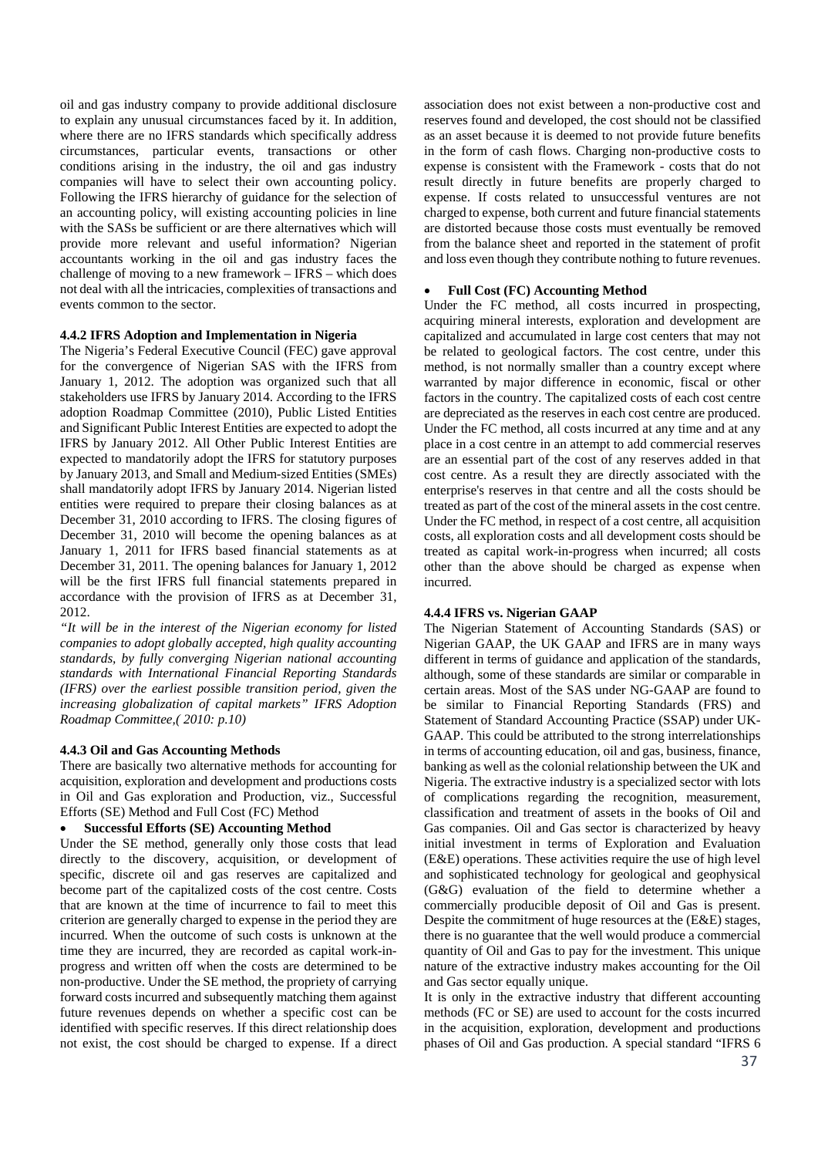oil and gas industry company to provide additional disclosure to explain any unusual circumstances faced by it. In addition, where there are no IFRS standards which specifically address circumstances, particular events, transactions or other conditions arising in the industry, the oil and gas industry companies will have to select their own accounting policy. Following the IFRS hierarchy of guidance for the selection of an accounting policy, will existing accounting policies in line with the SASs be sufficient or are there alternatives which will provide more relevant and useful information? Nigerian accountants working in the oil and gas industry faces the challenge of moving to a new framework – IFRS – which does not deal with all the intricacies, complexities of transactions and events common to the sector.

### **4.4.2 IFRS Adoption and Implementation in Nigeria**

The Nigeria's Federal Executive Council (FEC) gave approval for the convergence of Nigerian SAS with the IFRS from January 1, 2012. The adoption was organized such that all stakeholders use IFRS by January 2014. According to the IFRS adoption Roadmap Committee (2010), Public Listed Entities and Significant Public Interest Entities are expected to adopt the IFRS by January 2012. All Other Public Interest Entities are expected to mandatorily adopt the IFRS for statutory purposes by January 2013, and Small and Medium-sized Entities (SMEs) shall mandatorily adopt IFRS by January 2014. Nigerian listed entities were required to prepare their closing balances as at December 31, 2010 according to IFRS. The closing figures of December 31, 2010 will become the opening balances as at January 1, 2011 for IFRS based financial statements as at December 31, 2011. The opening balances for January 1, 2012 will be the first IFRS full financial statements prepared in accordance with the provision of IFRS as at December 31, 2012.

*"It will be in the interest of the Nigerian economy for listed companies to adopt globally accepted, high quality accounting standards, by fully converging Nigerian national accounting standards with International Financial Reporting Standards (IFRS) over the earliest possible transition period, given the increasing globalization of capital markets" IFRS Adoption Roadmap Committee,( 2010: p.10)*

#### **4.4.3 Oil and Gas Accounting Methods**

There are basically two alternative methods for accounting for acquisition, exploration and development and productions costs in Oil and Gas exploration and Production, viz., Successful Efforts (SE) Method and Full Cost (FC) Method

#### **Successful Efforts (SE) Accounting Method**

Under the SE method, generally only those costs that lead directly to the discovery, acquisition, or development of specific, discrete oil and gas reserves are capitalized and become part of the capitalized costs of the cost centre. Costs that are known at the time of incurrence to fail to meet this criterion are generally charged to expense in the period they are incurred. When the outcome of such costs is unknown at the time they are incurred, they are recorded as capital work-inprogress and written off when the costs are determined to be non-productive. Under the SE method, the propriety of carrying forward costs incurred and subsequently matching them against future revenues depends on whether a specific cost can be identified with specific reserves. If this direct relationship does not exist, the cost should be charged to expense. If a direct

association does not exist between a non-productive cost and reserves found and developed, the cost should not be classified as an asset because it is deemed to not provide future benefits in the form of cash flows. Charging non-productive costs to expense is consistent with the Framework - costs that do not result directly in future benefits are properly charged to expense. If costs related to unsuccessful ventures are not charged to expense, both current and future financial statements are distorted because those costs must eventually be removed from the balance sheet and reported in the statement of profit and loss even though they contribute nothing to future revenues.

#### **Full Cost (FC) Accounting Method**

Under the FC method, all costs incurred in prospecting, acquiring mineral interests, exploration and development are capitalized and accumulated in large cost centers that may not be related to geological factors. The cost centre, under this method, is not normally smaller than a country except where warranted by major difference in economic, fiscal or other factors in the country. The capitalized costs of each cost centre are depreciated as the reserves in each cost centre are produced. Under the FC method, all costs incurred at any time and at any place in a cost centre in an attempt to add commercial reserves are an essential part of the cost of any reserves added in that cost centre. As a result they are directly associated with the enterprise's reserves in that centre and all the costs should be treated as part of the cost of the mineral assets in the cost centre. Under the FC method, in respect of a cost centre, all acquisition costs, all exploration costs and all development costs should be treated as capital work-in-progress when incurred; all costs other than the above should be charged as expense when incurred.

### **4.4.4 IFRS vs. Nigerian GAAP**

The Nigerian Statement of Accounting Standards (SAS) or Nigerian GAAP, the UK GAAP and IFRS are in many ways different in terms of guidance and application of the standards, although, some of these standards are similar or comparable in certain areas. Most of the SAS under NG-GAAP are found to be similar to Financial Reporting Standards (FRS) and Statement of Standard Accounting Practice (SSAP) under UK-GAAP. This could be attributed to the strong interrelationships in terms of accounting education, oil and gas, business, finance, banking as well as the colonial relationship between the UK and Nigeria. The extractive industry is a specialized sector with lots of complications regarding the recognition, measurement, classification and treatment of assets in the books of Oil and Gas companies. Oil and Gas sector is characterized by heavy initial investment in terms of Exploration and Evaluation (E&E) operations. These activities require the use of high level and sophisticated technology for geological and geophysical (G&G) evaluation of the field to determine whether a commercially producible deposit of Oil and Gas is present. Despite the commitment of huge resources at the (E&E) stages, there is no guarantee that the well would produce a commercial quantity of Oil and Gas to pay for the investment. This unique nature of the extractive industry makes accounting for the Oil and Gas sector equally unique.

It is only in the extractive industry that different accounting methods (FC or SE) are used to account for the costs incurred in the acquisition, exploration, development and productions phases of Oil and Gas production. A special standard "IFRS 6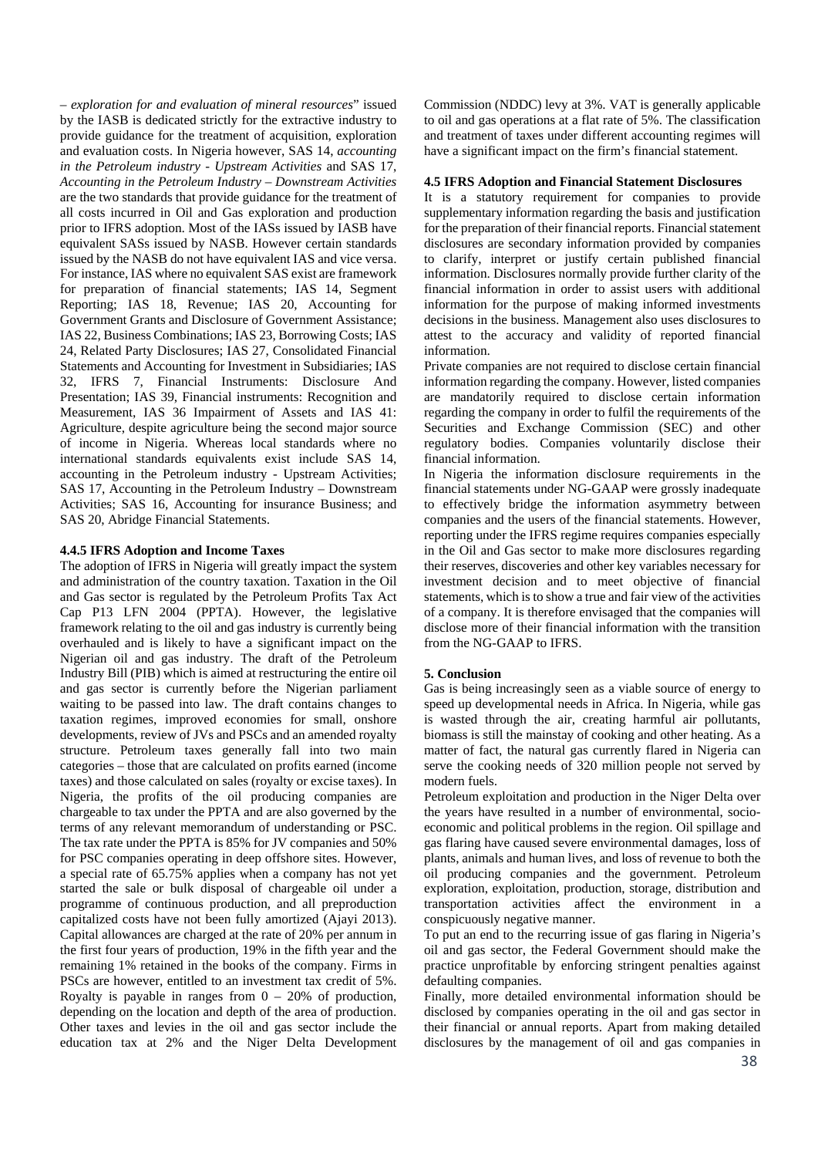– *exploration for and evaluation of mineral resources*" issued by the IASB is dedicated strictly for the extractive industry to provide guidance for the treatment of acquisition, exploration and evaluation costs. In Nigeria however, SAS 14, *accounting in the Petroleum industry - Upstream Activities* and SAS 17, *Accounting in the Petroleum Industry – Downstream Activities*  are the two standards that provide guidance for the treatment of all costs incurred in Oil and Gas exploration and production prior to IFRS adoption. Most of the IASs issued by IASB have equivalent SASs issued by NASB. However certain standards issued by the NASB do not have equivalent IAS and vice versa. For instance, IAS where no equivalent SAS exist are framework for preparation of financial statements; IAS 14, Segment Reporting; IAS 18, Revenue; IAS 20, Accounting for Government Grants and Disclosure of Government Assistance; IAS 22, Business Combinations; IAS 23, Borrowing Costs; IAS 24, Related Party Disclosures; IAS 27, Consolidated Financial Statements and Accounting for Investment in Subsidiaries; IAS 32, IFRS 7, Financial Instruments: Disclosure And Presentation; IAS 39, Financial instruments: Recognition and Measurement, IAS 36 Impairment of Assets and IAS 41: Agriculture, despite agriculture being the second major source of income in Nigeria. Whereas local standards where no international standards equivalents exist include SAS 14, accounting in the Petroleum industry - Upstream Activities; SAS 17, Accounting in the Petroleum Industry – Downstream Activities; SAS 16, Accounting for insurance Business; and SAS 20, Abridge Financial Statements.

## **4.4.5 IFRS Adoption and Income Taxes**

The adoption of IFRS in Nigeria will greatly impact the system and administration of the country taxation. Taxation in the Oil and Gas sector is regulated by the Petroleum Profits Tax Act Cap P13 LFN 2004 (PPTA). However, the legislative framework relating to the oil and gas industry is currently being overhauled and is likely to have a significant impact on the Nigerian oil and gas industry. The draft of the Petroleum Industry Bill (PIB) which is aimed at restructuring the entire oil and gas sector is currently before the Nigerian parliament waiting to be passed into law. The draft contains changes to taxation regimes, improved economies for small, onshore developments, review of JVs and PSCs and an amended royalty structure. Petroleum taxes generally fall into two main categories – those that are calculated on profits earned (income taxes) and those calculated on sales (royalty or excise taxes). In Nigeria, the profits of the oil producing companies are chargeable to tax under the PPTA and are also governed by the terms of any relevant memorandum of understanding or PSC. The tax rate under the PPTA is 85% for JV companies and 50% for PSC companies operating in deep offshore sites. However, a special rate of 65.75% applies when a company has not yet started the sale or bulk disposal of chargeable oil under a programme of continuous production, and all preproduction capitalized costs have not been fully amortized (Ajayi 2013). Capital allowances are charged at the rate of 20% per annum in the first four years of production, 19% in the fifth year and the remaining 1% retained in the books of the company. Firms in PSCs are however, entitled to an investment tax credit of 5%. Royalty is payable in ranges from  $0 - 20\%$  of production, depending on the location and depth of the area of production. Other taxes and levies in the oil and gas sector include the education tax at 2% and the Niger Delta Development

Commission (NDDC) levy at 3%. VAT is generally applicable to oil and gas operations at a flat rate of 5%. The classification and treatment of taxes under different accounting regimes will have a significant impact on the firm's financial statement.

## **4.5 IFRS Adoption and Financial Statement Disclosures**

It is a statutory requirement for companies to provide supplementary information regarding the basis and justification for the preparation of their financial reports. Financial statement disclosures are secondary information provided by companies to clarify, interpret or justify certain published financial information. Disclosures normally provide further clarity of the financial information in order to assist users with additional information for the purpose of making informed investments decisions in the business. Management also uses disclosures to attest to the accuracy and validity of reported financial information.

Private companies are not required to disclose certain financial information regarding the company. However, listed companies are mandatorily required to disclose certain information regarding the company in order to fulfil the requirements of the Securities and Exchange Commission (SEC) and other regulatory bodies. Companies voluntarily disclose their financial information.

In Nigeria the information disclosure requirements in the financial statements under NG-GAAP were grossly inadequate to effectively bridge the information asymmetry between companies and the users of the financial statements. However, reporting under the IFRS regime requires companies especially in the Oil and Gas sector to make more disclosures regarding their reserves, discoveries and other key variables necessary for investment decision and to meet objective of financial statements, which is to show a true and fair view of the activities of a company. It is therefore envisaged that the companies will disclose more of their financial information with the transition from the NG-GAAP to IFRS.

## **5. Conclusion**

Gas is being increasingly seen as a viable source of energy to speed up developmental needs in Africa. In Nigeria, while gas is wasted through the air, creating harmful air pollutants, biomass is still the mainstay of cooking and other heating. As a matter of fact, the natural gas currently flared in Nigeria can serve the cooking needs of 320 million people not served by modern fuels.

Petroleum exploitation and production in the Niger Delta over the years have resulted in a number of environmental, socioeconomic and political problems in the region. Oil spillage and gas flaring have caused severe environmental damages, loss of plants, animals and human lives, and loss of revenue to both the oil producing companies and the government. Petroleum exploration, exploitation, production, storage, distribution and transportation activities affect the environment in a conspicuously negative manner.

To put an end to the recurring issue of gas flaring in Nigeria's oil and gas sector, the Federal Government should make the practice unprofitable by enforcing stringent penalties against defaulting companies.

Finally, more detailed environmental information should be disclosed by companies operating in the oil and gas sector in their financial or annual reports. Apart from making detailed disclosures by the management of oil and gas companies in